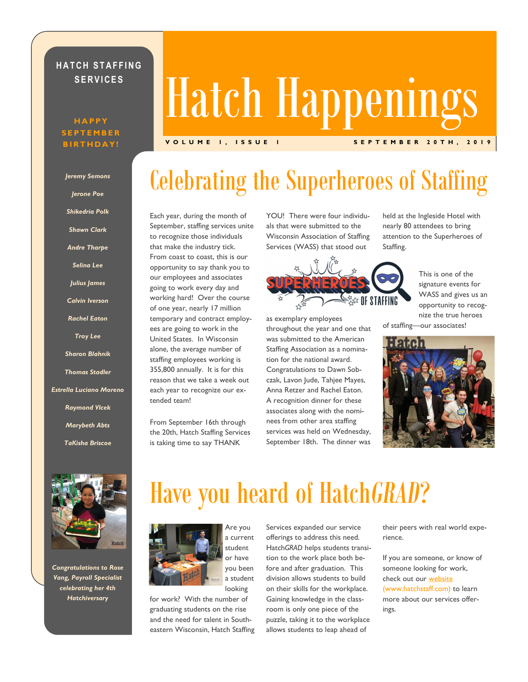### **HATCH STAFFING S E R V I C E S**

#### **H A P P Y S E P T E M B E R B I R T H D A Y !**

*Jeremy Semons Jerone Poe Shikedria Polk Shawn Clark Andre Tharpe Selina Lee Julius James*

*Calvin Iverson*

*Rachel Eaton*

*Troy Lee*

*Sharon Blahnik*

*Thomas Stadler*

*Estrella Luciano Moreno*

*Raymond Vlcek*

*Marybeth Abts*

*TaKisha Briscoe*

# Hatch Happenings

**V O L U M E 1 , I S S U E 1 S E P T E M B E R 2 0 T H , 2 0 1 9**

# Celebrating the Superheroes of Staffing

Each year, during the month of September, staffing services unite to recognize those individuals that make the industry tick. From coast to coast, this is our opportunity to say thank you to our employees and associates going to work every day and working hard! Over the course of one year, nearly 17 million temporary and contract employees are going to work in the United States. In Wisconsin alone, the average number of staffing employees working is 355,800 annually. It is for this reason that we take a week out each year to recognize our extended team!

From September 16th through the 20th, Hatch Staffing Services is taking time to say THANK

YOU! There were four individuals that were submitted to the Wisconsin Association of Staffing Services (WASS) that stood out



as exemplary employees throughout the year and one that was submitted to the American Staffing Association as a nomination for the national award. Congratulations to Dawn Sobczak, Lavon Jude, Tahjee Mayes, Anna Retzer and Rachel Eaton. A recognition dinner for these associates along with the nominees from other area staffing services was held on Wednesday, September 18th. The dinner was

held at the Ingleside Hotel with nearly 80 attendees to bring attention to the Superheroes of Staffing.

This is one of the signature events for WASS and gives us an opportunity to recognize the true heroes of staffing—our associates!





*Congratulations to Rose Vang, Payroll Specialist celebrating her 4th Hatchiversary*

## Have you heard of Hatch*GRAD*?



Are you a current student or have you been a student looking

for work? With the number of graduating students on the rise and the need for talent in Southeastern Wisconsin, Hatch Staffing Services expanded our service offerings to address this need. Hatch*GRAD* helps students transition to the work place both before and after graduation. This division allows students to build on their skills for the workplace. Gaining knowledge in the classroom is only one piece of the puzzle, taking it to the workplace allows students to leap ahead of

their peers with real world experience.

If you are someone, or know of someone looking for work, check out our **[website](https://www.hatchstaff.com/staffing-agencies-in-milwaukee/services/)** (www.hatchstaff.com) to learn more about our services offerings.